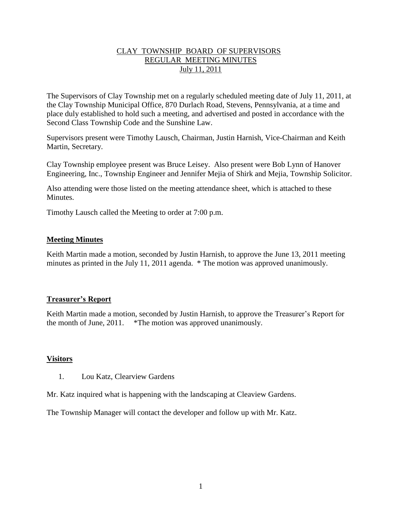## CLAY TOWNSHIP BOARD OF SUPERVISORS REGULAR MEETING MINUTES July 11, 2011

The Supervisors of Clay Township met on a regularly scheduled meeting date of July 11, 2011, at the Clay Township Municipal Office, 870 Durlach Road, Stevens, Pennsylvania, at a time and place duly established to hold such a meeting, and advertised and posted in accordance with the Second Class Township Code and the Sunshine Law.

Supervisors present were Timothy Lausch, Chairman, Justin Harnish, Vice-Chairman and Keith Martin, Secretary.

Clay Township employee present was Bruce Leisey. Also present were Bob Lynn of Hanover Engineering, Inc., Township Engineer and Jennifer Mejia of Shirk and Mejia, Township Solicitor.

Also attending were those listed on the meeting attendance sheet, which is attached to these Minutes.

Timothy Lausch called the Meeting to order at 7:00 p.m.

## **Meeting Minutes**

Keith Martin made a motion, seconded by Justin Harnish, to approve the June 13, 2011 meeting minutes as printed in the July 11, 2011 agenda. \* The motion was approved unanimously.

# **Treasurer's Report**

Keith Martin made a motion, seconded by Justin Harnish, to approve the Treasurer's Report for the month of June, 2011. \*The motion was approved unanimously.

#### **Visitors**

1. Lou Katz, Clearview Gardens

Mr. Katz inquired what is happening with the landscaping at Cleaview Gardens.

The Township Manager will contact the developer and follow up with Mr. Katz.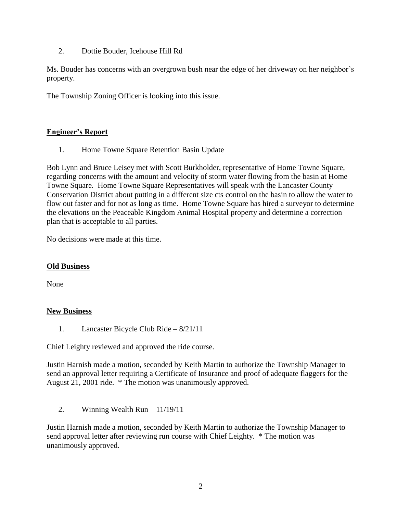2. Dottie Bouder, Icehouse Hill Rd

Ms. Bouder has concerns with an overgrown bush near the edge of her driveway on her neighbor's property.

The Township Zoning Officer is looking into this issue.

# **Engineer's Report**

1. Home Towne Square Retention Basin Update

Bob Lynn and Bruce Leisey met with Scott Burkholder, representative of Home Towne Square, regarding concerns with the amount and velocity of storm water flowing from the basin at Home Towne Square. Home Towne Square Representatives will speak with the Lancaster County Conservation District about putting in a different size cts control on the basin to allow the water to flow out faster and for not as long as time. Home Towne Square has hired a surveyor to determine the elevations on the Peaceable Kingdom Animal Hospital property and determine a correction plan that is acceptable to all parties.

No decisions were made at this time.

#### **Old Business**

None

# **New Business**

1. Lancaster Bicycle Club Ride – 8/21/11

Chief Leighty reviewed and approved the ride course.

Justin Harnish made a motion, seconded by Keith Martin to authorize the Township Manager to send an approval letter requiring a Certificate of Insurance and proof of adequate flaggers for the August 21, 2001 ride. \* The motion was unanimously approved.

2. Winning Wealth Run  $-11/19/11$ 

Justin Harnish made a motion, seconded by Keith Martin to authorize the Township Manager to send approval letter after reviewing run course with Chief Leighty. \* The motion was unanimously approved.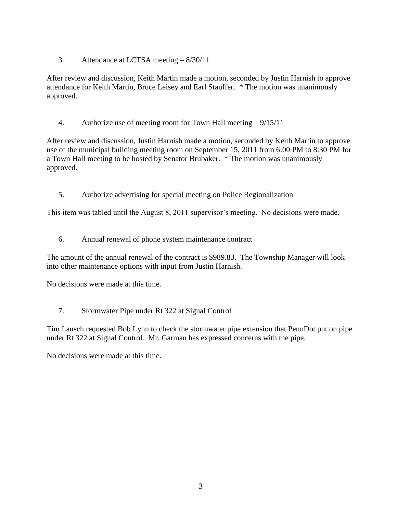3. Attendance at LCTSA meeting – 8/30/11

After review and discussion, Keith Martin made a motion, seconded by Justin Harnish to approve attendance for Keith Martin, Bruce Leisey and Earl Stauffer. \* The motion was unanimously approved.

4. Authorize use of meeting room for Town Hall meeting – 9/15/11

After review and discussion, Justin Harnish made a motion, seconded by Keith Martin to approve use of the municipal building meeting room on September 15, 2011 from 6:00 PM to 8:30 PM for a Town Hall meeting to be hosted by Senator Brubaker. \* The motion was unanimously approved.

5. Authorize advertising for special meeting on Police Regionalization

This item was tabled until the August 8, 2011 supervisor's meeting. No decisions were made.

6. Annual renewal of phone system maintenance contract

The amount of the annual renewal of the contract is \$989.83. The Township Manager will look into other maintenance options with input from Justin Harnish.

No decisions were made at this time.

7. Stormwater Pipe under Rt 322 at Signal Control

Tim Lausch requested Bob Lynn to check the stormwater pipe extension that PennDot put on pipe under Rt 322 at Signal Control. Mr. Garman has expressed concerns with the pipe.

No decisions were made at this time.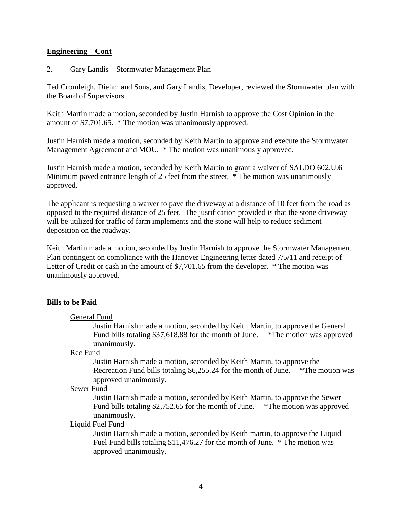#### **Engineering – Cont**

2. Gary Landis – Stormwater Management Plan

Ted Cromleigh, Diehm and Sons, and Gary Landis, Developer, reviewed the Stormwater plan with the Board of Supervisors.

Keith Martin made a motion, seconded by Justin Harnish to approve the Cost Opinion in the amount of \$7,701.65. \* The motion was unanimously approved.

Justin Harnish made a motion, seconded by Keith Martin to approve and execute the Stormwater Management Agreement and MOU. \* The motion was unanimously approved.

Justin Harnish made a motion, seconded by Keith Martin to grant a waiver of SALDO 602.U.6 – Minimum paved entrance length of 25 feet from the street. \* The motion was unanimously approved.

The applicant is requesting a waiver to pave the driveway at a distance of 10 feet from the road as opposed to the required distance of 25 feet. The justification provided is that the stone driveway will be utilized for traffic of farm implements and the stone will help to reduce sediment deposition on the roadway.

Keith Martin made a motion, seconded by Justin Harnish to approve the Stormwater Management Plan contingent on compliance with the Hanover Engineering letter dated 7/5/11 and receipt of Letter of Credit or cash in the amount of \$7,701.65 from the developer. \* The motion was unanimously approved.

# **Bills to be Paid**

#### General Fund

Justin Harnish made a motion, seconded by Keith Martin, to approve the General Fund bills totaling \$37,618.88 for the month of June. \*The motion was approved unanimously.

#### Rec Fund

Justin Harnish made a motion, seconded by Keith Martin, to approve the Recreation Fund bills totaling \$6,255.24 for the month of June. \*The motion was approved unanimously.

#### Sewer Fund

Justin Harnish made a motion, seconded by Keith Martin, to approve the Sewer Fund bills totaling \$2,752.65 for the month of June. \*The motion was approved unanimously.

#### Liquid Fuel Fund

Justin Harnish made a motion, seconded by Keith martin, to approve the Liquid Fuel Fund bills totaling \$11,476.27 for the month of June. \* The motion was approved unanimously.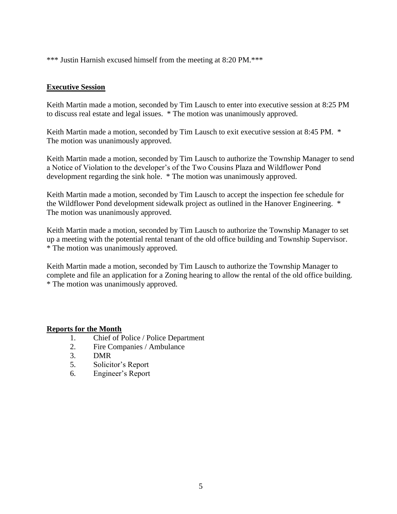\*\*\* Justin Harnish excused himself from the meeting at 8:20 PM.\*\*\*

## **Executive Session**

Keith Martin made a motion, seconded by Tim Lausch to enter into executive session at 8:25 PM to discuss real estate and legal issues. \* The motion was unanimously approved.

Keith Martin made a motion, seconded by Tim Lausch to exit executive session at 8:45 PM. \* The motion was unanimously approved.

Keith Martin made a motion, seconded by Tim Lausch to authorize the Township Manager to send a Notice of Violation to the developer's of the Two Cousins Plaza and Wildflower Pond development regarding the sink hole. \* The motion was unanimously approved.

Keith Martin made a motion, seconded by Tim Lausch to accept the inspection fee schedule for the Wildflower Pond development sidewalk project as outlined in the Hanover Engineering. \* The motion was unanimously approved.

Keith Martin made a motion, seconded by Tim Lausch to authorize the Township Manager to set up a meeting with the potential rental tenant of the old office building and Township Supervisor. \* The motion was unanimously approved.

Keith Martin made a motion, seconded by Tim Lausch to authorize the Township Manager to complete and file an application for a Zoning hearing to allow the rental of the old office building. \* The motion was unanimously approved.

# **Reports for the Month**

- 1. Chief of Police / Police Department
- 2. Fire Companies / Ambulance
- 3. DMR
- 5. Solicitor's Report
- 6. Engineer's Report